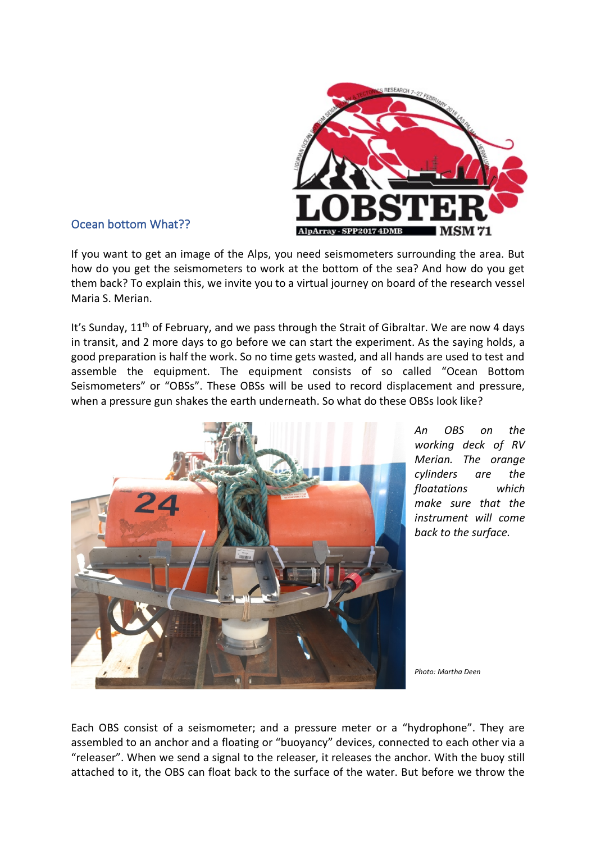

## Ocean bottom What??

If you want to get an image of the Alps, you need seismometers surrounding the area. But how do you get the seismometers to work at the bottom of the sea? And how do you get them back? To explain this, we invite you to a virtual journey on board of the research vessel Maria S. Merian.

It's Sunday, 11<sup>th</sup> of February, and we pass through the Strait of Gibraltar. We are now 4 days in transit, and 2 more days to go before we can start the experiment. As the saying holds, a good preparation is half the work. So no time gets wasted, and all hands are used to test and assemble the equipment. The equipment consists of so called "Ocean Bottom Seismometers" or "OBSs". These OBSs will be used to record displacement and pressure, when a pressure gun shakes the earth underneath. So what do these OBSs look like?



*An OBS on the working deck of RV Merian. The orange cylinders are the floatations which make sure that the instrument will come back to the surface.*

*Photo: Martha Deen*

Each OBS consist of a seismometer; and a pressure meter or a "hydrophone". They are assembled to an anchor and a floating or "buoyancy" devices, connected to each other via a "releaser". When we send a signal to the releaser, it releases the anchor. With the buoy still attached to it, the OBS can float back to the surface of the water. But before we throw the